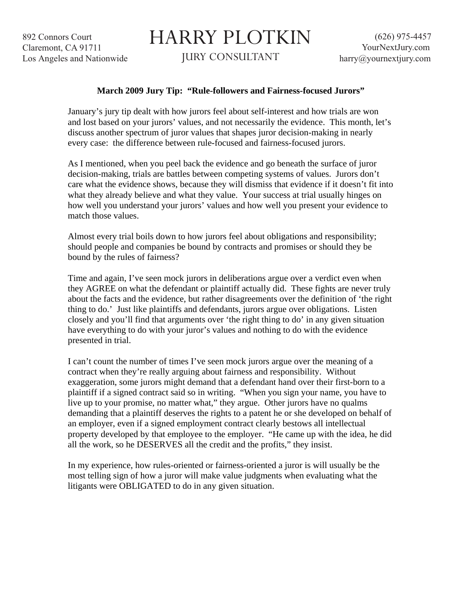892 Connors Court Claremont, CA 91711 Los Angeles and Nationwide

## HARRY PLOTKIN

JURY CONSULTANT

## **March 2009 Jury Tip: "Rule-followers and Fairness-focused Jurors"**

January's jury tip dealt with how jurors feel about self-interest and how trials are won and lost based on your jurors' values, and not necessarily the evidence. This month, let's discuss another spectrum of juror values that shapes juror decision-making in nearly every case: the difference between rule-focused and fairness-focused jurors.

As I mentioned, when you peel back the evidence and go beneath the surface of juror decision-making, trials are battles between competing systems of values. Jurors don't care what the evidence shows, because they will dismiss that evidence if it doesn't fit into what they already believe and what they value. Your success at trial usually hinges on how well you understand your jurors' values and how well you present your evidence to match those values.

Almost every trial boils down to how jurors feel about obligations and responsibility; should people and companies be bound by contracts and promises or should they be bound by the rules of fairness?

Time and again, I've seen mock jurors in deliberations argue over a verdict even when they AGREE on what the defendant or plaintiff actually did. These fights are never truly about the facts and the evidence, but rather disagreements over the definition of 'the right thing to do.' Just like plaintiffs and defendants, jurors argue over obligations. Listen closely and you'll find that arguments over 'the right thing to do' in any given situation have everything to do with your juror's values and nothing to do with the evidence presented in trial.

I can't count the number of times I've seen mock jurors argue over the meaning of a contract when they're really arguing about fairness and responsibility. Without exaggeration, some jurors might demand that a defendant hand over their first-born to a plaintiff if a signed contract said so in writing. "When you sign your name, you have to live up to your promise, no matter what," they argue. Other jurors have no qualms demanding that a plaintiff deserves the rights to a patent he or she developed on behalf of an employer, even if a signed employment contract clearly bestows all intellectual property developed by that employee to the employer. "He came up with the idea, he did all the work, so he DESERVES all the credit and the profits," they insist.

In my experience, how rules-oriented or fairness-oriented a juror is will usually be the most telling sign of how a juror will make value judgments when evaluating what the litigants were OBLIGATED to do in any given situation.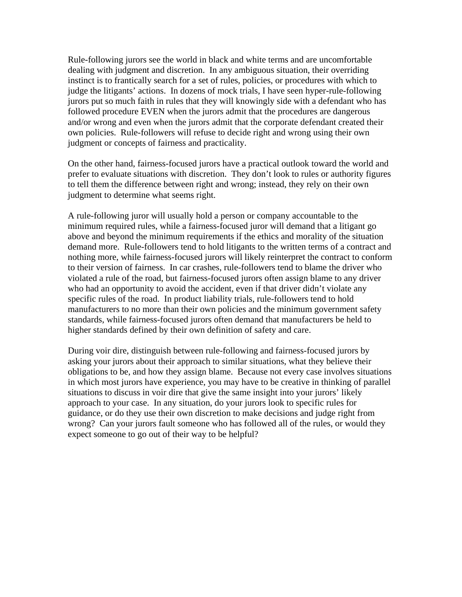Rule-following jurors see the world in black and white terms and are uncomfortable dealing with judgment and discretion. In any ambiguous situation, their overriding instinct is to frantically search for a set of rules, policies, or procedures with which to judge the litigants' actions. In dozens of mock trials, I have seen hyper-rule-following jurors put so much faith in rules that they will knowingly side with a defendant who has followed procedure EVEN when the jurors admit that the procedures are dangerous and/or wrong and even when the jurors admit that the corporate defendant created their own policies. Rule-followers will refuse to decide right and wrong using their own judgment or concepts of fairness and practicality.

On the other hand, fairness-focused jurors have a practical outlook toward the world and prefer to evaluate situations with discretion. They don't look to rules or authority figures to tell them the difference between right and wrong; instead, they rely on their own judgment to determine what seems right.

A rule-following juror will usually hold a person or company accountable to the minimum required rules, while a fairness-focused juror will demand that a litigant go above and beyond the minimum requirements if the ethics and morality of the situation demand more. Rule-followers tend to hold litigants to the written terms of a contract and nothing more, while fairness-focused jurors will likely reinterpret the contract to conform to their version of fairness. In car crashes, rule-followers tend to blame the driver who violated a rule of the road, but fairness-focused jurors often assign blame to any driver who had an opportunity to avoid the accident, even if that driver didn't violate any specific rules of the road. In product liability trials, rule-followers tend to hold manufacturers to no more than their own policies and the minimum government safety standards, while fairness-focused jurors often demand that manufacturers be held to higher standards defined by their own definition of safety and care.

During voir dire, distinguish between rule-following and fairness-focused jurors by asking your jurors about their approach to similar situations, what they believe their obligations to be, and how they assign blame. Because not every case involves situations in which most jurors have experience, you may have to be creative in thinking of parallel situations to discuss in voir dire that give the same insight into your jurors' likely approach to your case. In any situation, do your jurors look to specific rules for guidance, or do they use their own discretion to make decisions and judge right from wrong? Can your jurors fault someone who has followed all of the rules, or would they expect someone to go out of their way to be helpful?